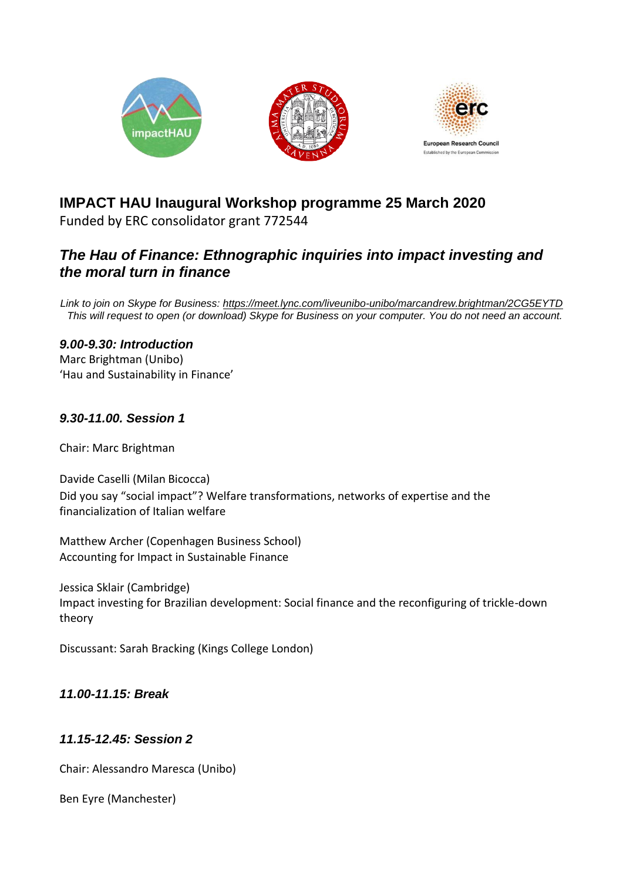

# **IMPACT HAU Inaugural Workshop programme 25 March 2020**

Funded by ERC consolidator grant 772544

## *The Hau of Finance: Ethnographic inquiries into impact investing and the moral turn in finance*

*Link to join on Skype for Business:<https://meet.lync.com/liveunibo-unibo/marcandrew.brightman/2CG5EYTD> This will request to open (or download) Skype for Business on your computer. You do not need an account.*

## *9.00-9.30: Introduction*

Marc Brightman (Unibo) 'Hau and Sustainability in Finance'

## *9.30-11.00. Session 1*

Chair: Marc Brightman

Davide Caselli (Milan Bicocca) Did you say "social impact"? Welfare transformations, networks of expertise and the financialization of Italian welfare

Matthew Archer (Copenhagen Business School) Accounting for Impact in Sustainable Finance

Jessica Sklair (Cambridge) Impact investing for Brazilian development: Social finance and the reconfiguring of trickle-down theory

Discussant: Sarah Bracking (Kings College London)

## *11.00-11.15: Break*

## *11.15-12.45: Session 2*

Chair: Alessandro Maresca (Unibo)

Ben Eyre (Manchester)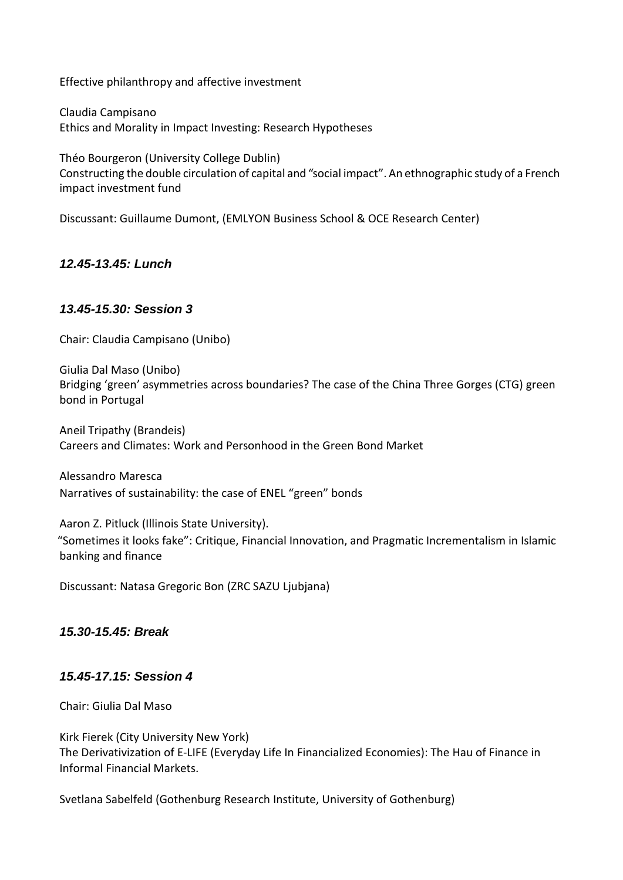Effective philanthropy and affective investment

Claudia Campisano Ethics and Morality in Impact Investing: Research Hypotheses

Théo Bourgeron (University College Dublin) Constructing the double circulation of capital and "social impact". An ethnographic study of a French impact investment fund

Discussant: Guillaume Dumont, (EMLYON Business School & OCE Research Center)

*12.45-13.45: Lunch*

#### *13.45-15.30: Session 3*

Chair: Claudia Campisano (Unibo)

Giulia Dal Maso (Unibo) Bridging 'green' asymmetries across boundaries? The case of the China Three Gorges (CTG) green bond in Portugal

Aneil Tripathy (Brandeis) Careers and Climates: Work and Personhood in the Green Bond Market

Alessandro Maresca Narratives of sustainability: the case of ENEL "green" bonds

Aaron Z. Pitluck (Illinois State University). "Sometimes it looks fake": Critique, Financial Innovation, and Pragmatic Incrementalism in Islamic banking and finance

Discussant: Natasa Gregoric Bon (ZRC SAZU Ljubjana)

#### *15.30-15.45: Break*

#### *15.45-17.15: Session 4*

Chair: Giulia Dal Maso

Kirk Fierek (City University New York) The Derivativization of E-LIFE (Everyday Life In Financialized Economies): The Hau of Finance in Informal Financial Markets.

Svetlana Sabelfeld (Gothenburg Research Institute, University of Gothenburg)